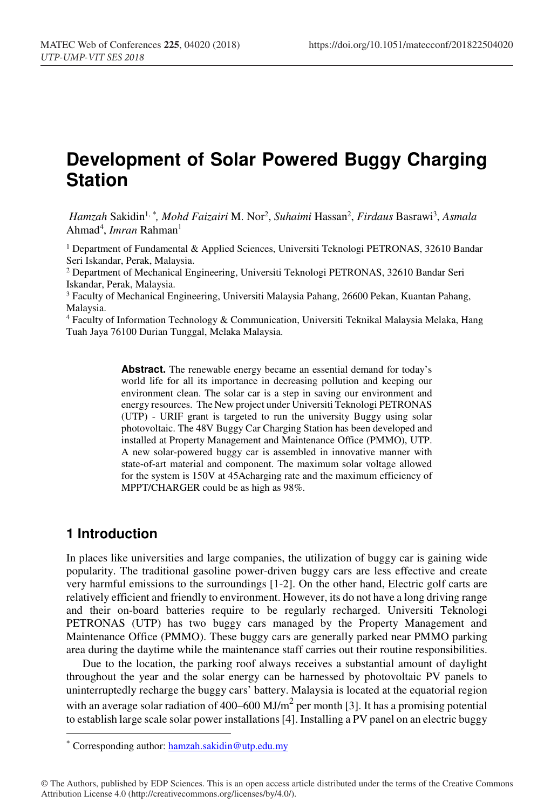# **Development of Solar Powered Buggy Charging Station**

*Hamzah* Sakidin1, *\*, Mohd Faizairi* M. Nor2 , *Suhaimi* Hassan2 , *Firdaus* Basrawi3 , *Asmala* Ahmad<sup>4</sup>, *Imran* Rahman<sup>1</sup>

<sup>1</sup> Department of Fundamental & Applied Sciences, Universiti Teknologi PETRONAS, 32610 Bandar Seri Iskandar, Perak, Malaysia.

2 Department of Mechanical Engineering, Universiti Teknologi PETRONAS, 32610 Bandar Seri Iskandar, Perak, Malaysia.

3 Faculty of Mechanical Engineering, Universiti Malaysia Pahang, 26600 Pekan, Kuantan Pahang, Malaysia.

 $4$  Faculty of Information Technology & Communication, Universiti Teknikal Malaysia Melaka, Hang Tuah Jaya 76100 Durian Tunggal, Melaka Malaysia.

> Abstract. The renewable energy became an essential demand for today's world life for all its importance in decreasing pollution and keeping our environment clean. The solar car is a step in saving our environment and energy resources. The New project under Universiti Teknologi PETRONAS (UTP) - URIF grant is targeted to run the university Buggy using solar photovoltaic. The 48V Buggy Car Charging Station has been developed and installed at Property Management and Maintenance Office (PMMO), UTP. A new solar-powered buggy car is assembled in innovative manner with state-of-art material and component. The maximum solar voltage allowed for the system is 150V at 45Acharging rate and the maximum efficiency of MPPT/CHARGER could be as high as 98%.

#### **1 Introduction**

In places like universities and large companies, the utilization of buggy car is gaining wide popularity. The traditional gasoline power-driven buggy cars are less effective and create very harmful emissions to the surroundings [1-2]. On the other hand, Electric golf carts are relatively efficient and friendly to environment. However, its do not have a long driving range and their on-board batteries require to be regularly recharged. Universiti Teknologi PETRONAS (UTP) has two buggy cars managed by the Property Management and Maintenance Office (PMMO). These buggy cars are generally parked near PMMO parking area during the daytime while the maintenance staff carries out their routine responsibilities.

Due to the location, the parking roof always receives a substantial amount of daylight throughout the year and the solar energy can be harnessed by photovoltaic PV panels to uninterruptedly recharge the buggy cars' battery. Malaysia is located at the equatorial region with an average solar radiation of 400–600 MJ/m<sup>2</sup> per month [3]. It has a promising potential to establish large scale solar power installations [4]. Installing a PV panel on an electric buggy

 <sup>\*</sup> Corresponding author: hamzah.sakidin@utp.edu.my

<sup>©</sup> The Authors, published by EDP Sciences. This is an open access article distributed under the terms of the Creative Commons Attribution License 4.0 (http://creativecommons.org/licenses/by/4.0/).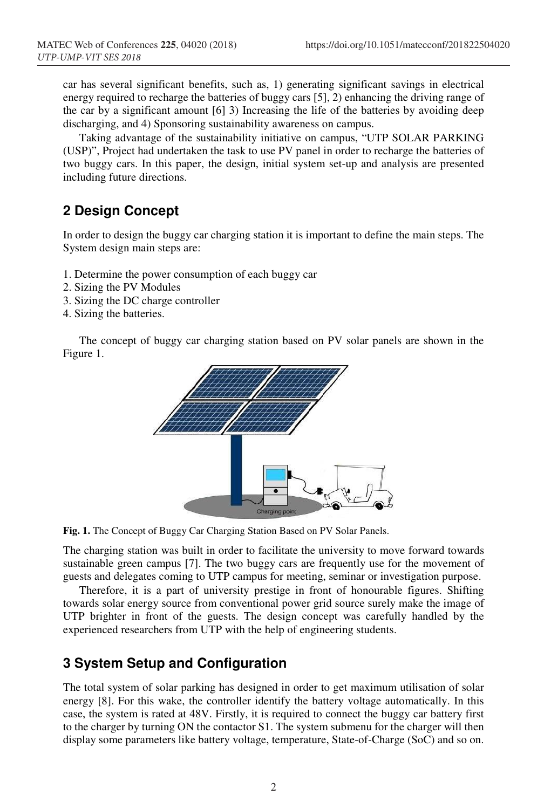car has several significant benefits, such as, 1) generating significant savings in electrical energy required to recharge the batteries of buggy cars [5], 2) enhancing the driving range of the car by a significant amount [6] 3) Increasing the life of the batteries by avoiding deep discharging, and 4) Sponsoring sustainability awareness on campus.

Taking advantage of the sustainability initiative on campus, "UTP SOLAR PARKING (USP)", Project had undertaken the task to use PV panel in order to recharge the batteries of two buggy cars. In this paper, the design, initial system set-up and analysis are presented including future directions.

## **2 Design Concept**

In order to design the buggy car charging station it is important to define the main steps. The System design main steps are:

- 1. Determine the power consumption of each buggy car
- 2. Sizing the PV Modules
- 3. Sizing the DC charge controller
- 4. Sizing the batteries.

The concept of buggy car charging station based on PV solar panels are shown in the Figure 1.



**Fig. 1.** The Concept of Buggy Car Charging Station Based on PV Solar Panels.

The charging station was built in order to facilitate the university to move forward towards sustainable green campus [7]. The two buggy cars are frequently use for the movement of guests and delegates coming to UTP campus for meeting, seminar or investigation purpose.

Therefore, it is a part of university prestige in front of honourable figures. Shifting towards solar energy source from conventional power grid source surely make the image of UTP brighter in front of the guests. The design concept was carefully handled by the experienced researchers from UTP with the help of engineering students.

#### **3 System Setup and Configuration**

The total system of solar parking has designed in order to get maximum utilisation of solar energy [8]. For this wake, the controller identify the battery voltage automatically. In this case, the system is rated at 48V. Firstly, it is required to connect the buggy car battery first to the charger by turning ON the contactor S1. The system submenu for the charger will then display some parameters like battery voltage, temperature, State-of-Charge (SoC) and so on.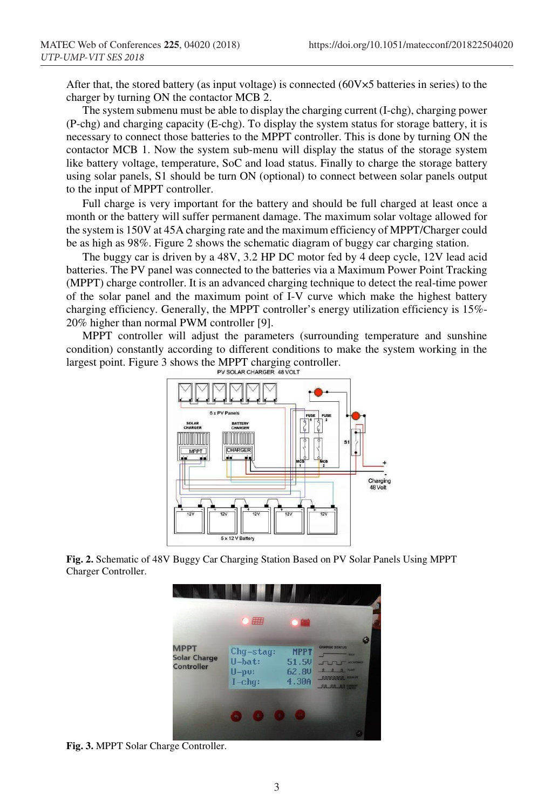After that, the stored battery (as input voltage) is connected (60V×5 batteries in series) to the charger by turning ON the contactor MCB 2.

The system submenu must be able to display the charging current (I-chg), charging power (P-chg) and charging capacity (E-chg). To display the system status for storage battery, it is necessary to connect those batteries to the MPPT controller. This is done by turning ON the contactor MCB 1. Now the system sub-menu will display the status of the storage system like battery voltage, temperature, SoC and load status. Finally to charge the storage battery using solar panels, S1 should be turn ON (optional) to connect between solar panels output to the input of MPPT controller.

Full charge is very important for the battery and should be full charged at least once a month or the battery will suffer permanent damage. The maximum solar voltage allowed for the system is 150V at 45A charging rate and the maximum efficiency of MPPT/Charger could be as high as 98%. Figure 2 shows the schematic diagram of buggy car charging station.

The buggy car is driven by a 48V, 3.2 HP DC motor fed by 4 deep cycle, 12V lead acid batteries. The PV panel was connected to the batteries via a Maximum Power Point Tracking (MPPT) charge controller. It is an advanced charging technique to detect the real-time power of the solar panel and the maximum point of I-V curve which make the highest battery charging efficiency. Generally, the MPPT controller's energy utilization efficiency is 15%- 20% higher than normal PWM controller [9].

MPPT controller will adjust the parameters (surrounding temperature and sunshine condition) constantly according to different conditions to make the system working in the largest point. Figure 3 shows the MPPT charging controller.<br>PV SOLAR CHARGER 48 VOLT



**Fig. 2.** Schematic of 48V Buggy Car Charging Station Based on PV Solar Panels Using MPPT Charger Controller.



**Fig. 3.** MPPT Solar Charge Controller.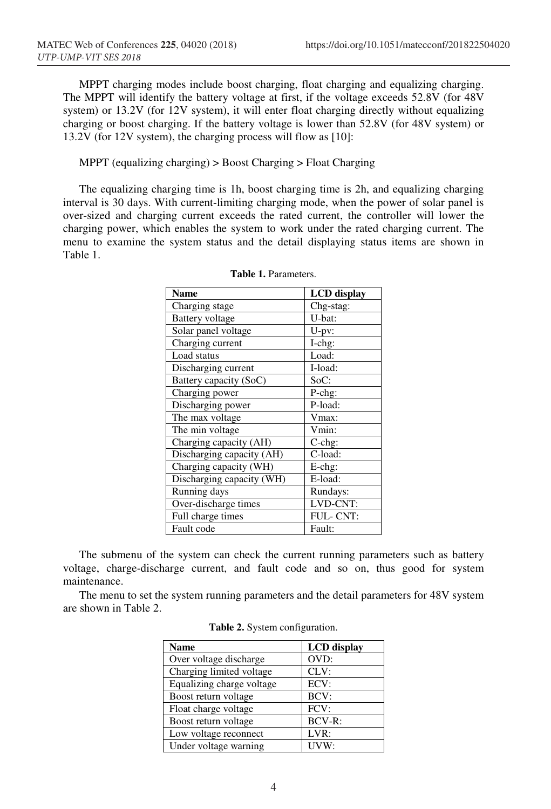MPPT charging modes include boost charging, float charging and equalizing charging. The MPPT will identify the battery voltage at first, if the voltage exceeds 52.8V (for 48V system) or 13.2V (for 12V system), it will enter float charging directly without equalizing charging or boost charging. If the battery voltage is lower than 52.8V (for 48V system) or 13.2V (for 12V system), the charging process will flow as [10]:

MPPT (equalizing charging) > Boost Charging > Float Charging

The equalizing charging time is 1h, boost charging time is 2h, and equalizing charging interval is 30 days. With current-limiting charging mode, when the power of solar panel is over-sized and charging current exceeds the rated current, the controller will lower the charging power, which enables the system to work under the rated charging current. The menu to examine the system status and the detail displaying status items are shown in Table 1.

| Name                      | <b>LCD</b> display |
|---------------------------|--------------------|
| Charging stage            | Chg-stag:          |
| <b>Battery</b> voltage    | U-bat:             |
| Solar panel voltage       | $U-pv$ :           |
| Charging current          | I-chg:             |
| Load status               | Load:              |
| Discharging current       | I-load:            |
| Battery capacity (SoC)    | SoC:               |
| Charging power            | P-chg:             |
| Discharging power         | P-load:            |
| The max voltage           | Vmax:              |
| The min voltage           | Vmin:              |
| Charging capacity (AH)    | $C$ -chg:          |
| Discharging capacity (AH) | C-load:            |
| Charging capacity (WH)    | E-chg:             |
| Discharging capacity (WH) | E-load:            |
| Running days              | Rundays:           |
| Over-discharge times      | LVD-CNT:           |
| Full charge times         | FUL-CNT:           |
| Fault code                | Fault:             |

The submenu of the system can check the current running parameters such as battery voltage, charge-discharge current, and fault code and so on, thus good for system maintenance.

The menu to set the system running parameters and the detail parameters for 48V system are shown in Table 2.

| <b>Name</b>               | <b>LCD</b> display |
|---------------------------|--------------------|
| Over voltage discharge    | OVD:               |
| Charging limited voltage  | CLV:               |
| Equalizing charge voltage | ECV:               |
| Boost return voltage      | BCV:               |
| Float charge voltage      | FCV:               |
| Boost return voltage      | BCV-R:             |
| Low voltage reconnect     | LVR:               |
| Under voltage warning     | UVW:               |

**Table 2.** System configuration.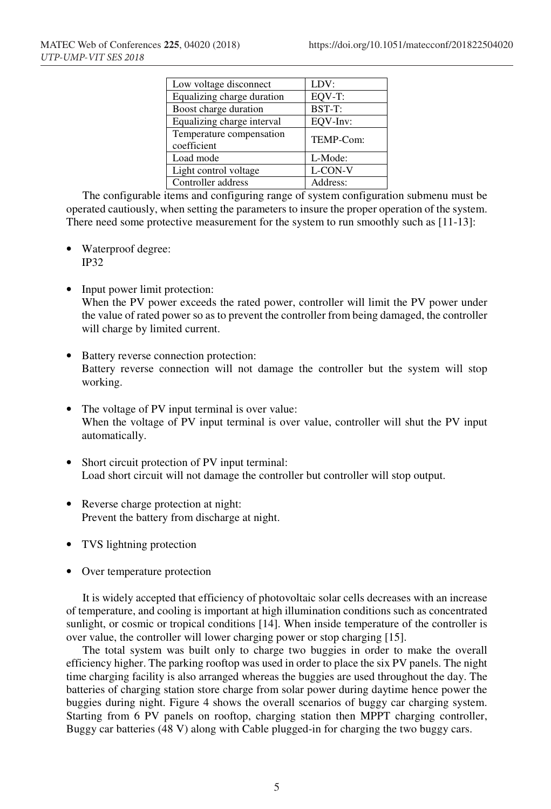| Low voltage disconnect     | LDV:      |
|----------------------------|-----------|
| Equalizing charge duration | EQV-T:    |
| Boost charge duration      | BST-T:    |
| Equalizing charge interval | EOV-Inv:  |
| Temperature compensation   | TEMP-Com: |
| coefficient                |           |
| Load mode                  | L-Mode:   |
| Light control voltage      | L-CON-V   |
| Controller address         | Address:  |

The configurable items and configuring range of system configuration submenu must be operated cautiously, when setting the parameters to insure the proper operation of the system. There need some protective measurement for the system to run smoothly such as [11-13]:

- Waterproof degree: IP32
- Input power limit protection: When the PV power exceeds the rated power, controller will limit the PV power under the value of rated power so as to prevent the controller from being damaged, the controller will charge by limited current.
- Battery reverse connection protection: Battery reverse connection will not damage the controller but the system will stop working.
- The voltage of PV input terminal is over value: When the voltage of PV input terminal is over value, controller will shut the PV input automatically.
- Short circuit protection of PV input terminal: Load short circuit will not damage the controller but controller will stop output.
- Reverse charge protection at night: Prevent the battery from discharge at night.
- TVS lightning protection
- Over temperature protection

It is widely accepted that efficiency of photovoltaic solar cells decreases with an increase of temperature, and cooling is important at high illumination conditions such as concentrated sunlight, or cosmic or tropical conditions [14]. When inside temperature of the controller is over value, the controller will lower charging power or stop charging [15].

The total system was built only to charge two buggies in order to make the overall efficiency higher. The parking rooftop was used in order to place the six PV panels. The night time charging facility is also arranged whereas the buggies are used throughout the day. The batteries of charging station store charge from solar power during daytime hence power the buggies during night. Figure 4 shows the overall scenarios of buggy car charging system. Starting from 6 PV panels on rooftop, charging station then MPPT charging controller, Buggy car batteries (48 V) along with Cable plugged-in for charging the two buggy cars.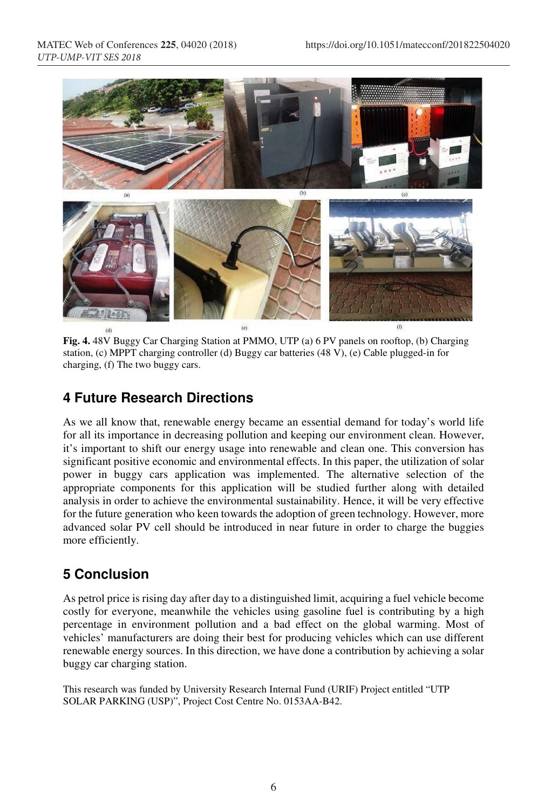

**Fig. 4.** 48V Buggy Car Charging Station at PMMO, UTP (a) 6 PV panels on rooftop, (b) Charging station, (c) MPPT charging controller (d) Buggy car batteries (48 V), (e) Cable plugged-in for charging, (f) The two buggy cars.

### **4 Future Research Directions**

As we all know that, renewable energy became an essential demand for today's world life for all its importance in decreasing pollution and keeping our environment clean. However, it's important to shift our energy usage into renewable and clean one. This conversion has significant positive economic and environmental effects. In this paper, the utilization of solar power in buggy cars application was implemented. The alternative selection of the appropriate components for this application will be studied further along with detailed analysis in order to achieve the environmental sustainability. Hence, it will be very effective for the future generation who keen towards the adoption of green technology. However, more advanced solar PV cell should be introduced in near future in order to charge the buggies more efficiently.

# **5 Conclusion**

As petrol price is rising day after day to a distinguished limit, acquiring a fuel vehicle become costly for everyone, meanwhile the vehicles using gasoline fuel is contributing by a high percentage in environment pollution and a bad effect on the global warming. Most of vehicles' manufacturers are doing their best for producing vehicles which can use different renewable energy sources. In this direction, we have done a contribution by achieving a solar buggy car charging station.

This research was funded by University Research Internal Fund (URIF) Project entitled "UTP SOLAR PARKING (USP)", Project Cost Centre No. 0153AA-B42.